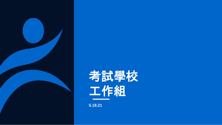

# 考試學校 工作組

**5.18.21**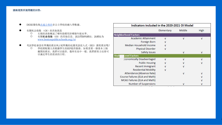#### 請跟進對所提問題的回答:

● DESE僅收[集此處公佈的](https://profiles.doe.mass.edu/statereport/nonpublicschoolreport.aspx)非公立學校的總入學數據。

以滿足學生的需求的日程。

- 有關机会指数 (OI)的其他資訊<br>○ 右側的表格概述了哪些
	- O 右側的表格概述了哪些指標用於哪個年級水準。<br>○ 右關如会指数 (OI) 的其他信息 請訪問BPS組
	- 有關机会指数(OI)的其他信息,請訪問BPS網站,該網址為 [www.bostonpublicschools.org/oi](http://www.bostonpublicschools.org/oi)

● 考試學校會設有單獨的教室和/或單獨的庇護英語浸入式(SEI)課程教室嗎?<br>○ 學校將配備人員根據學生的IEP提供服務。如果需要一個基本上隔 學校將配備人員根據學生的IEP提供服務。如果需要一個基本上隔 離開的教室,我們可以提供。像所有高中一樣,我們將努力安排可

| Indicators included in the 2020-2021 OI Model |            |        |      |  |  |  |  |  |  |
|-----------------------------------------------|------------|--------|------|--|--|--|--|--|--|
|                                               | Elementary | Middle | High |  |  |  |  |  |  |
| <b>Neighborhood Factors</b>                   |            |        |      |  |  |  |  |  |  |
| <b>Academic Attainment</b>                    | ν          | ν      | ν    |  |  |  |  |  |  |
| Foreign Born                                  |            |        |      |  |  |  |  |  |  |
| Median Household Income                       | ν          |        |      |  |  |  |  |  |  |
| Physical Disorder                             | ν          |        |      |  |  |  |  |  |  |
| Safety Issues                                 |            | ν      | ν    |  |  |  |  |  |  |
| <b>Level Factors</b><br><b>Stud</b>           |            |        |      |  |  |  |  |  |  |
| conomically Disadvantaged                     | ν          | ν      | ν    |  |  |  |  |  |  |
| <b>Public Housing</b>                         |            |        |      |  |  |  |  |  |  |
| <b>Recent Immigrant</b>                       |            |        |      |  |  |  |  |  |  |
| <b>Residential Mobility</b>                   | ν          |        |      |  |  |  |  |  |  |
| Attendance (Absence Rate)                     |            | ν      |      |  |  |  |  |  |  |
| Course Failures (ELA and Math)                |            |        |      |  |  |  |  |  |  |
| MCAS Failures (ELA and Math)                  |            |        |      |  |  |  |  |  |  |
| Number of Suspensions                         |            | ν      |      |  |  |  |  |  |  |

**2**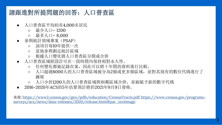# 請跟進對所提問題的回答:人口普查區

- 人口普查區平均約有4,000名居民
	- 最少人口– 1200
	- 最多人口– 8,000
- 參與統計領域專案(PSAP)
	- 該項目每10年提供一次
	- 當地參與劃定統計區域
	- 根據人口變化將人口普查區分開或合併
- 人口普查區域經設計可在一段時間內保持相對永久性。
	- 任何變化都被記錄在案,因此可以將十年間的資料進行比較。
	- 人口超過8000人的人口普查區域被分為2個或更多個區域,並對其現有的數位代碼進行了 擴展
	- 人口少於1200人的人口普查區域與相鄰區域合併,並被賦予新的數字代碼
- 2016-2020年ACS的5年估算預計將於2021年9月9日發佈。

來源[:](https://www.census.gov/programs-surveys/acs/news/data-releases/2020/release.html#par_textimage) <https://www2.census.gov/geo/pdfs/education/CensusTracts.pdf>[; https://www.census.gov/programs](https://www.census.gov/programs-surveys/acs/news/data-releases/2020/release.html#par_textimage)surveys/acs/news/data-releases/2020/release.html#par\_textimage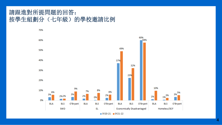#### 請跟進對所提問題的回答: 按學生組劃分(七年級)的學校邀請比例



**4**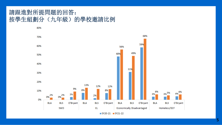#### 請跟進對所提問題的回答: 按學生組劃分(九年級)的學校邀請比例



 $SY20-21$   $SY21-22$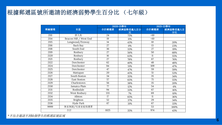#### 根據郵遞區號所邀請的經濟弱勢學生百分比 (七年級)

|      |                        |                 | 2020-21學年      | 2021-22學年       |                |  |
|------|------------------------|-----------------|----------------|-----------------|----------------|--|
| 郵編號碼 | 社區                     | 合計總邀請           | 經濟弱勢受邀人百分<br>比 | 合計總邀請           | 經濟弱勢受邀人百<br>分比 |  |
| 2111 | 唐人街                    | 24              | 75%            | <10             |                |  |
| 2114 | Beacon Hill / West End | 19              | 11%            | <10             |                |  |
| 2115 | Longwood/Fenway        | 14              | 43%            | 10              | 20%            |  |
| 2116 | <b>Back Bay</b>        | 27              | 0%             | 13              | 23%            |  |
| 2118 | South End              | 36              | 33%            | 27              | 19%            |  |
| 2119 | Roxbury                | 27              | 56%            | 50              | 68%            |  |
| 2120 | Roxbury                | 16              | 63%            | 11              | 55%            |  |
| 2121 | Roxbury                | 27              | 78%            | 67              | 76%            |  |
| 2122 | Dorchester             | 62              | 40%            | 48              | 48%            |  |
| 2124 | Dorchester             | 84              | 51%            | 109             | 47%            |  |
| 2125 | Dorchester             | 47              | 47%            | 59              | 59%            |  |
| 2126 | Mattapan               | 20              | 45%            | $\overline{51}$ | 53%            |  |
| 2127 | South Boston           | 34              | 35%            | 35              | 34%            |  |
| 2128 | East Boston            | $\overline{57}$ | 65%            | $\overline{75}$ | 55%            |  |
| 2129 | Charlestown            | 56              | 38%            | 35              | 20%            |  |
| 2130 | Jamaica Plain          | 77              | 12%            | 54              | 6%             |  |
| 2131 | Roslindale             | 94              | 33%            | 67              | 16%            |  |
| 2132 | West Roxbury           | 133             | 7%             | 69              | 10%            |  |
| 2134 | Allston                | 17              | 65%            | 11              | 36%            |  |
| 2135 | <b>Brighton</b>        | 52              | 37%            | 29              | 34%            |  |
| 2136 | <b>Hyde Park</b>       | 67              | 31%            | 67              | 33%            |  |
| 9999 | 無家無歸/兒童家庭保護署           |                 |                | 53              | 100%           |  |
|      | 合計                     | 1025            | 35%            | 974             | 43%            |  |

*\**不包含邀請不到*10*個學生的郵遞區號區域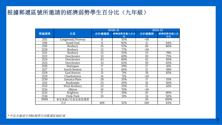#### 根據郵遞區號所邀請的經濟弱勢學生百分比(九年級)

|                      |                 |                 | <b>SY20-21</b> | <b>SY21-22</b>  |          |  |
|----------------------|-----------------|-----------------|----------------|-----------------|----------|--|
| 郵編號碼                 | 社區              | 合計總邀請           | 經濟弱勢受邀人百分      | 合計總邀請           | 經濟弱勢受邀人百 |  |
|                      |                 |                 | 比              |                 | 分比       |  |
| 2115                 | Longwood/Fenway | 11              | 55%            | <10             |          |  |
| 2118                 | South End       | 11              | 82%            | 11              | 64%      |  |
| 2119                 | Roxbury         | $\overline{25}$ | 52%            | $\overline{20}$ | 80%      |  |
| 2120                 | Roxbury         | 13              | 77%            | <10             |          |  |
| 2121                 | Roxbury         | 22              | 55%            | 23              | 78%      |  |
| 2122                 | Dorchester      | 32              | 69%            | 20              | 75%      |  |
| 2124                 | Dorchester      | 43              | 60%            | 42              | 50%      |  |
| 2125                 | Dorchester      | $\overline{32}$ | 63%            | 20              | 65%      |  |
| 2126                 | Mattapan        | 17              | 29%            | 27              | 41%      |  |
| 2127                 | South Boston    | 11              | 64%            | 12              | 58%      |  |
| 2128                 | East Boston     | 21              | 71%            | 28              | 82%      |  |
| 2129                 | Charlestown     | 14              | 71%            | <10             |          |  |
| 2130                 | Jamaica Plain   | 20              | 35%            | 17              | 35%      |  |
| 2131                 | Roslindale      | $\overline{25}$ | 20%            | 18              | 50%      |  |
| 2132                 | West Roxbury    | 22              | 23%            | 12              | 42%      |  |
| 2134                 | Allston         | 10              | 70%            | <10             |          |  |
| 2135                 | <b>Brighton</b> | 17              | 29%            | 10              | 80%      |  |
| 2136                 | Hyde Park       | 35              | 31%            | 24              | 50%      |  |
| 無家無歸/兒童家庭保護署<br>9999 |                 |                 |                | 20              | 100%     |  |
|                      | 合計              | 406             | 52%            | 340             | 63%      |  |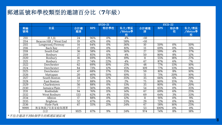# 郵遞區號和學校類型的邀請百分比(**7**年級)

|          |                        | SY20-21         |            |       |                       |                 | <b>SY21-22</b> |          |                       |
|----------|------------------------|-----------------|------------|-------|-----------------------|-----------------|----------------|----------|-----------------------|
| 郵編<br>號碼 | 社區                     | 合計總<br>邀請       | <b>BPS</b> | 特許學校  | 私立/教區<br>/Metco學<br>校 | 合計總邀<br>請       | <b>BPS</b>     | 特許學<br>校 | 私立/教區<br>/Metco學<br>校 |
| 2111     | 唐人街                    | 24              | 96%        | 0%    | 4%                    | <10             |                |          |                       |
| 2114     | Beacon Hill / West End | 19              | 42%        | 0%    | 58%                   | <10             |                |          |                       |
| 2115     | Longwood/Fenway        | 14              | 64%        | 0%    | 36%                   | 10              | 50%            | 0%       | 50%                   |
| 2116     | Back Bay               | 27              | 19%        | 0%    | 81%                   | 13              | 69%            | 0%       | 31%                   |
| 2118     | South End              | 36              | 58%        | 6%    | 36%                   | 27              | 59%            | 4%       | 37%                   |
| 2119     | Roxbury                | 27              | 85%        | 11%   | 4%                    | 50              | 80%            | 8%       | 12%                   |
| 2120     | Roxbury                | 16              | 69%        | 13%   | 19%                   | 11              | 55%            | 18%      | 27%                   |
| 2121     | Roxbury                | 27              | 74%        | 22%   | 4%                    | 67              | 87%            | 6%       | 7%                    |
| 2122     | Dorchester             | 62              | 69%        | 10%   | 21%                   | 48              | 77%            | 13%      | 10%                   |
| 2124     | Dorchester             | 84              | 73%        | 12%   | 15%                   | 109             | 77%            | 13%      | 10%                   |
| 2125     | Dorchester             | 47              | 68%        | 17%   | 15%                   | 59              | 81%            | 8%       | 10%                   |
| 2126     | Mattapan               | 20              | 40%        | 50%   | 10%                   | $\overline{51}$ | 71%            | 20%      | 10%                   |
| 2127     | South Boston           | 34              | 53%        | 12%   | 35%                   | $\overline{35}$ | 66%            | 6%       | 29%                   |
| 2128     | East Boston            | 57              | 88%        | 11%   | 2%                    | 75              | 80%            | 15%      | 5%                    |
| 2129     | Charlestown            | $\overline{56}$ | 88%        | $0\%$ | 13%                   | $\overline{35}$ | 80%            | 0%       | 20%                   |
| 2130     | Jamaica Plain          | 77              | 56%        | 6%    | 38%                   | 54              | 65%            | 0%       | 35%                   |
| 2131     | Roslindale             | 94              | 76%        | 11%   | 14%                   | 67              | 69%            | 6%       | 25%                   |
| 2132     | West Roxbury           | 133             | 62%        | 4%    | 35%                   | 69              | 64%            | 3%       | 33%                   |
| 2134     | Allston                | 17              | 88%        | 0%    | 12%                   | 11              | 91%            | 0%       | 9%                    |
| 2135     | <b>Brighton</b>        | $\overline{52}$ | 67%        | 0%    | 33%                   | 29              | 72%            | 0%       | 28%                   |
| 2136     | Hyde Park              | 67              | 55%        | 21%   | 24%                   | 67              | 58%            | 16%      | 25%                   |
| 9999     | 無家無歸/兒童家庭保護署           |                 |            |       |                       | $\overline{53}$ | 100%           | 0%       | 0%                    |
|          | 合計                     | 1025            | 67%        | 9%    | 24%                   | 974             | 74%            | 8%       | 18%                   |

*\**不包含邀請不到*10*個學生的郵遞區號區域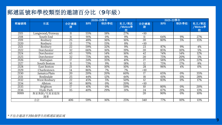# 郵遞區號和學校類型的邀請百分比(**9**年級)

|      |                  | 2020-21學年       |            |      |                       | 2021-22學年 |            |      |                       |
|------|------------------|-----------------|------------|------|-----------------------|-----------|------------|------|-----------------------|
| 郵編號碼 | 社區               | 合計總邀<br>請       | <b>BPS</b> | 特許學校 | 私立/教區<br>/Metco學<br>校 | 合計總邀<br>請 | <b>BPS</b> | 特許學校 | 私立/教區<br>/Metco學<br>校 |
| 2115 | Longwood/Fenway  | 11              | 55%        | 18%  | 27%                   | <10       |            |      |                       |
| 2118 | South End        | 11              | 91%        | 0%   | 9%                    | 11        | 64%        | 9%   | 27%                   |
| 2119 | Roxbury          | 25              | 48%        | 36%  | 16%                   | 20        | 80%        | 5%   | 15%                   |
| 2120 | Roxbury          | 13              | 77%        | 15%  | 8%                    | <10       |            |      |                       |
| 2121 | Roxbury          | 22              | 59%        | 32%  | 9%                    | 23        | 87%        | 9%   | 4%                    |
| 2122 | Dorchester       | 32              | 66%        | 16%  | 19%                   | 20        | 85%        | 10%  | 5%                    |
| 2124 | Dorchester       | 43              | 70%        | 14%  | 16%                   | 42        | 74%        | 14%  | 12%                   |
| 2125 | Dorchester       | 32              | 75%        | 16%  | 9%                    | 20        | 75%        | 20%  | 5%                    |
| 2126 | Mattapan         | 17              | 24%        | 35%  | 41%                   | 27        | 56%        | 22%  | 22%                   |
| 2127 | South Boston     | 11              | 73%        | 9%   | 18%                   | 12        | 75%        | 17%  | 8%                    |
| 2128 | East Boston      | 21              | 81%        | 10%  | 10%                   | 28        | 96%        | 4%   | 0%                    |
| 2129 | Charlestown      | 14              | 86%        | 7%   | 7%                    | <10       |            |      |                       |
| 2130 | Jamaica Plain    | 20              | 20%        | 20%  | 60%                   | 17        | 65%        | 0%   | 35%                   |
| 2131 | Roslindale       | $\overline{25}$ | 44%        | 12%  | 44%                   | 18        | 61%        | 11%  | 28%                   |
| 2132 | West Roxbury     | $\overline{22}$ | 45%        | 5%   | 50%                   | 12        | 83%        | 0%   | 17%                   |
| 2134 | Allston          | 10              | 80%        | 0%   | 20%                   | <10       |            |      |                       |
| 2135 | <b>Brighton</b>  | 17              | 41%        | 0%   | 59%                   | 10        | 80%        | 0%   | 20%                   |
| 2136 | Hyde Park        | 35              | 40%        | 29%  | 31%                   | 24        | 67%        | 21%  | 13%                   |
| 9999 | 無家無歸/兒童家庭保<br>護署 |                 |            |      |                       | 20        | 90%        | 0%   | 10%                   |
|      | 合計               | 406             | 59%        | 16%  | 25%                   | 340       | 77%        | 10%  | 13%                   |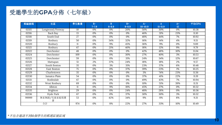## 受邀學生的**GPA**分佈(七年級)

| 郵編號碼  | 社區              | 學生數量            | $B -$     | B         | $B+$      | $A-$        | A           | $A+$ | 平均GPA |
|-------|-----------------|-----------------|-----------|-----------|-----------|-------------|-------------|------|-------|
|       |                 |                 | $7 - 7.9$ | $8 - 8.9$ | $9 - 9.9$ | $10 - 10.9$ | $11 - 11.9$ | 12   |       |
| 02115 | Longwood/Fenway | $\overline{10}$ | 0%        | 0%        | 20%       | 50%         | 30%         | 0%   | 10.38 |
| 02116 | <b>Back Bay</b> | $\overline{13}$ | $0\%$     | $0\%$     | 0%        | 46%         | 31%         | 23%  | 11.10 |
| 02118 | South End       | $\overline{27}$ | $0\%$     | 0%        | 0%        | 48%         | 44%         | 7%   | 10.92 |
| 02119 | Roxbury         | 50              | 0%        | 34%       | 32%       | 16%         | 14%         | 4%   | 9.51  |
| 02120 | Roxbury         | 11              | 0%        | 9%        | 45%       | 36%         | 9%          | 0%   | 9.89  |
| 02121 | Roxbury         | 67              | 0%        | 21%       | 40%       | 18%         | 12%         | 9%   | 9.79  |
| 02122 | Dorchester      | 48              | 0%        | 0%        | 0%        | 42%         | 48%         | 10%  | 11.04 |
| 02124 | Dorchester      | 109             | 0%        | 0%        | 30%       | 27%         | 40%         | 3%   | 10.53 |
| 02125 | Dorchester      | 59              | 0%        | 0%        | 31%       | 24%         | 34%         | 12%  | 10.67 |
| 02126 | Mattapan        | 51              | 2%        | 37%       | 24%       | 18%         | 18%         | 2%   | 9.57  |
| 02127 | South Boston    | 35              | 0%        | 3%        | 31%       | 23%         | 37%         | 6%   | 10.48 |
| 02128 | East Boston     | $\overline{75}$ | 0%        | 0%        | 37%       | 39%         | 23%         | 1%   | 10.25 |
| 02129 | Charlestown     | 35              | 0%        | 0%        | 0%        | 3%          | 74%         | 23%  | 11.56 |
| 02130 | Jamaica Plain   | 54              | 0%        | 0%        | 0%        | 37%         | 41%         | 22%  | 11.19 |
| 02131 | Roslindale      | 67              | 0%        | 0%        | 0%        | 49%         | 43%         | 7%   | 10.94 |
| 02132 | West Roxbury    | 69              | 0%        | 0%        | 0%        | 10%         | 51%         | 39%  | 11.51 |
| 02134 | Allston         | 11              | 0%        | 9%        | 18%       | 45%         | 27%         | 0%   | 10.32 |
| 02135 | <b>Brighton</b> | 29              | 0%        | 0%        | 24%       | 48%         | 28%         | 0%   | 10.36 |
| 02136 | Hyde Park       | 67              | 0%        | 0%        | 37%       | 30%         | 30%         | 3%   | 10.32 |
| 99999 | 無家無歸/兒童家庭保護     | 53              | 0%        | 42%       | 34%       | 9%          | 8%          | 8%   | 9.31  |
|       | 署               |                 |           |           |           |             |             |      |       |
|       | 合計              | 974             | 0%        | 8%        | 22%       | 27%         | 33%         | 10%  | 10.49 |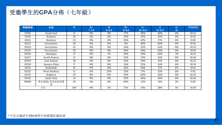# 受邀學生的**GPA**分佈(七年級)

| 郵編號碼  | 社區            | N   | $B-$      | B         | $B+$      | $A-$        | A           | $A+$ | 平均GPA |
|-------|---------------|-----|-----------|-----------|-----------|-------------|-------------|------|-------|
|       |               |     | $7 - 7.9$ | $8 - 8.9$ | $9 - 9.9$ | $10 - 10.9$ | $11 - 11.9$ | 12   |       |
| 02118 | South End     | 11  | 0%        | 0%        | 27%       | 36%         | 36%         | 0%   | 10.32 |
| 02119 | Roxbury       | 20  | 0%        | 0%        | 20%       | 45%         | 35%         | 0%   | 10.43 |
| 02121 | Roxbury       | 23  | 0%        | 0%        | 39%       | 43%         | 17%         | 0%   | 9.99  |
| 02122 | Dorchester    | 20  | 0%        | 0%        | 0%        | 40%         | 60%         | 0%   | 10.93 |
| 02124 | Dorchester    | 42  | 0%        | 0%        | 24%       | 33%         | 43%         | 0%   | 10.53 |
| 02125 | Dorchester    | 20  | 0%        | 0%        | 40%       | 40%         | 20%         | 0%   | 10.16 |
| 02126 | Mattapan      | 27  | 0%        | 7%        | 30%       | 30%         | 26%         | 7%   | 10.32 |
| 02127 | South Boston  | 12  | 0%        | 0%        | 25%       | 33%         | 42%         | 0%   | 10.40 |
| 02128 | East Boston   | 28  | 0%        | 0%        | 25%       | 54%         | 21%         | 0%   | 10.35 |
| 02130 | Jamaica Plain | 17  | 0%        | 0%        | 24%       | 53%         | 24%         | 0%   | 10.39 |
| 02131 | Roslindale    | 18  | 0%        | 0%        | 28%       | 50%         | 17%         | 6%   | 10.41 |
| 02132 | West Roxbury  | 12  | 0%        | 25%       | 25%       | 17%         | 33%         | 0%   | 9.92  |
| 02135 | Brighton      | 10  | 0%        | 0%        | 10%       | 60%         | 30%         | 0%   | 10.45 |
| 02136 | Hyde Park     | 24  | 0%        | 0%        | 25%       | 46%         | 29%         | 0%   | 10.36 |
| 99999 | 無家無歸/兒童家庭保護   | 20  | 0%        | 0%        | 60%       | 25%         | 10%         | 5%   | 9.99  |
|       | 署             |     |           |           |           |             |             |      |       |
|       | 合計            | 340 | 0%        | 3%        | 27%       | 41%         | 28%         | 1%   | 10.30 |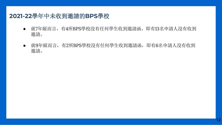#### **2021-22**學年中未收到邀請的**BPS**學校

- 就7年級而言,有4所BPS學校沒有任何學生收到邀請函,即有13名申請人沒有收到 邀請。
- 就9年級而言,有2所BPS學校沒有任何學生收到邀請函,即有6名申請人沒有收到 邀請。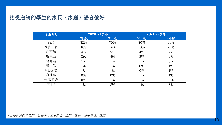#### 接受邀請的學生的家長(家庭)語言偏好

| 母語偏好 |     | 2020-21學年 | 2021-22學年 |     |  |
|------|-----|-----------|-----------|-----|--|
|      | 7年級 | 9年級       | 7年級       | 9年級 |  |
| 英語   | 82% | 70%       | 80%       | 66% |  |
| 西班牙語 | 6%  | 14%       | 10%       | 22% |  |
| 越南語  | 4%  | 5%        | 4%        | 4%  |  |
| 廣東話  | 3%  | 4%        | 2%        | 2%  |  |
| 普通話  | 1%  | 1%        | 1%        | 0%  |  |
| 臺山話  | 1%  | 1%        | 0%        | 1%  |  |
| 葡萄牙語 | 1%  | 1%        | 0%        | 1%  |  |
| 海地語  | 0%  | 0%        | 1%        | 1%  |  |
| 索馬裡語 | 0%  | 1%        | 1%        | 0%  |  |
| 其他*  | 1%  | 2%        | 1%        | 3%  |  |

*\**其他包括阿拉伯語、維德角克裡奧爾語、法語、海地克裡奧爾語、俄語